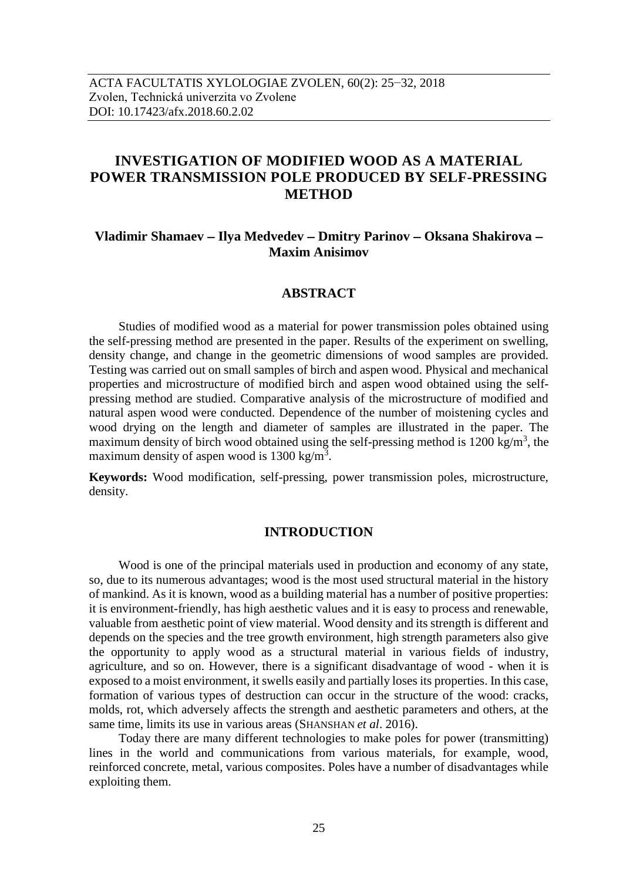# **INVESTIGATION OF MODIFIED WOOD AS A MATERIAL POWER TRANSMISSION POLE PRODUCED BY SELF-PRESSING METHOD**

## **Vladimir Shamaev Ilya Medvedev Dmitry Parinov Oksana Shakirova Maxim Anisimov**

### **ABSTRACT**

Studies of modified wood as a material for power transmission poles obtained using the self-pressing method are presented in the paper. Results of the experiment on swelling, density change, and change in the geometric dimensions of wood samples are provided. Testing was carried out on small samples of birch and aspen wood. Physical and mechanical properties and microstructure of modified birch and aspen wood obtained using the selfpressing method are studied. Comparative analysis of the microstructure of modified and natural aspen wood were conducted. Dependence of the number of moistening cycles and wood drying on the length and diameter of samples are illustrated in the paper. The maximum density of birch wood obtained using the self-pressing method is  $1200 \text{ kg/m}^3$ , the maximum density of aspen wood is  $1300 \text{ kg/m}^3$ .

**Keywords:** Wood modification, self-pressing, power transmission poles, microstructure, density.

### **INTRODUCTION**

Wood is one of the principal materials used in production and economy of any state, so, due to its numerous advantages; wood is the most used structural material in the history of mankind. As it is known, wood as a building material has a number of positive properties: it is environment-friendly, has high aesthetic values and it is easy to process and renewable, valuable from aesthetic point of view material. Wood density and its strength is different and depends on the species and the tree growth environment, high strength parameters also give the opportunity to apply wood as a structural material in various fields of industry, agriculture, and so on. However, there is a significant disadvantage of wood - when it is exposed to a moist environment, it swells easily and partially loses its properties. In this case, formation of various types of destruction can occur in the structure of the wood: cracks, molds, rot, which adversely affects the strength and aesthetic parameters and others, at the same time, limits its use in various areas (SHANSHAN *et al*. 2016).

Today there are many different technologies to make poles for power (transmitting) lines in the world and communications from various materials, for example, wood, reinforced concrete, metal, various composites. Poles have a number of disadvantages while exploiting them.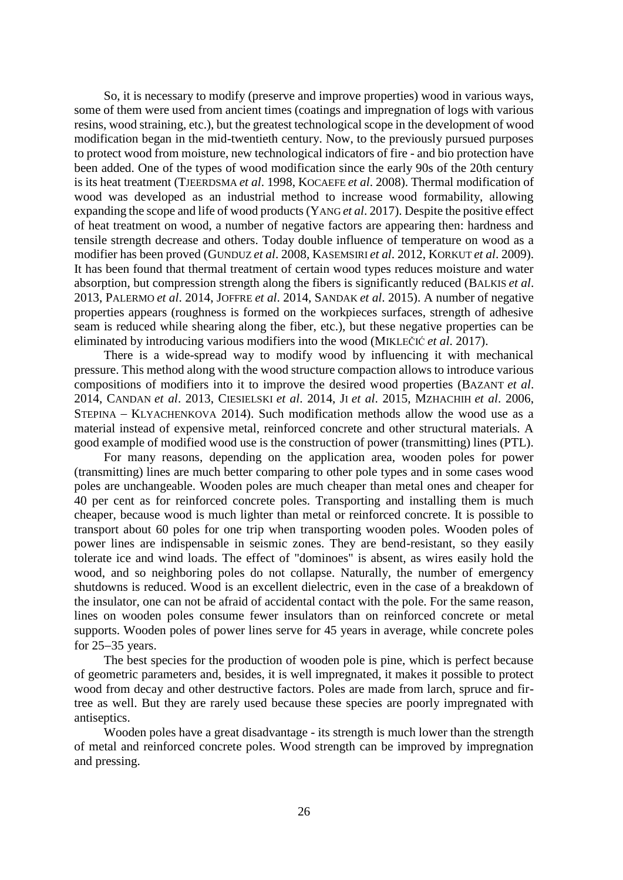So, it is necessary to modify (preserve and improve properties) wood in various ways, some of them were used from ancient times (coatings and impregnation of logs with various resins, wood straining, etc.), but the greatest technological scope in the development of wood modification began in the mid-twentieth century. Now, to the previously pursued purposes to protect wood from moisture, new technological indicators of fire - and bio protection have been added. One of the types of wood modification since the early 90s of the 20th century is its heat treatment (TJEERDSMA *et al*. 1998, KOCAEFE *et al*. 2008). Thermal modification of wood was developed as an industrial method to increase wood formability, allowing expanding the scope and life of wood products (YANG *et al*. 2017). Despite the positive effect of heat treatment on wood, a number of negative factors are appearing then: hardness and tensile strength decrease and others. Today double influence of temperature on wood as a modifier has been proved (GUNDUZ *et al*. 2008, KASEMSIRI *et al*. 2012, KORKUT *et al*. 2009). It has been found that thermal treatment of certain wood types reduces moisture and water absorption, but compression strength along the fibers is significantly reduced (BALKIS *et al*. 2013, PALERMO *et al*. 2014, JOFFRE *et al*. 2014, SANDAK *et al*. 2015). A number of negative properties appears (roughness is formed on the workpieces surfaces, strength of adhesive seam is reduced while shearing along the fiber, etc.), but these negative properties can be eliminated by introducing various modifiers into the wood (MIKLEČIĆ *et al*. 2017).

There is a wide-spread way to modify wood by influencing it with mechanical pressure. This method along with the wood structure compaction allows to introduce various compositions of modifiers into it to improve the desired wood properties (BAZANT *et al*. 2014, CANDAN *et al*. 2013, CIESIELSKI *et al*. 2014, JI *et al*. 2015, MZHACHIH *et al*. 2006,  $S$ TEPINA – KLYACHENKOVA 2014). Such modification methods allow the wood use as a material instead of expensive metal, reinforced concrete and other structural materials. A good example of modified wood use is the construction of power (transmitting) lines (PTL).

For many reasons, depending on the application area, wooden poles for power (transmitting) lines are much better comparing to other pole types and in some cases wood poles are unchangeable. Wooden poles are much cheaper than metal ones and cheaper for 40 per cent as for reinforced concrete poles. Transporting and installing them is much cheaper, because wood is much lighter than metal or reinforced concrete. It is possible to transport about 60 poles for one trip when transporting wooden poles. Wooden poles of power lines are indispensable in seismic zones. They are bend-resistant, so they easily tolerate ice and wind loads. The effect of "dominoes" is absent, as wires easily hold the wood, and so neighboring poles do not collapse. Naturally, the number of emergency shutdowns is reduced. Wood is an excellent dielectric, even in the case of a breakdown of the insulator, one can not be afraid of accidental contact with the pole. For the same reason, lines on wooden poles consume fewer insulators than on reinforced concrete or metal supports. Wooden poles of power lines serve for 45 years in average, while concrete poles for  $25-35$  years.

The best species for the production of wooden pole is pine, which is perfect because of geometric parameters and, besides, it is well impregnated, it makes it possible to protect wood from decay and other destructive factors. Poles are made from larch, spruce and firtree as well. But they are rarely used because these species are poorly impregnated with antiseptics.

Wooden poles have a great disadvantage - its strength is much lower than the strength of metal and reinforced concrete poles. Wood strength can be improved by impregnation and pressing.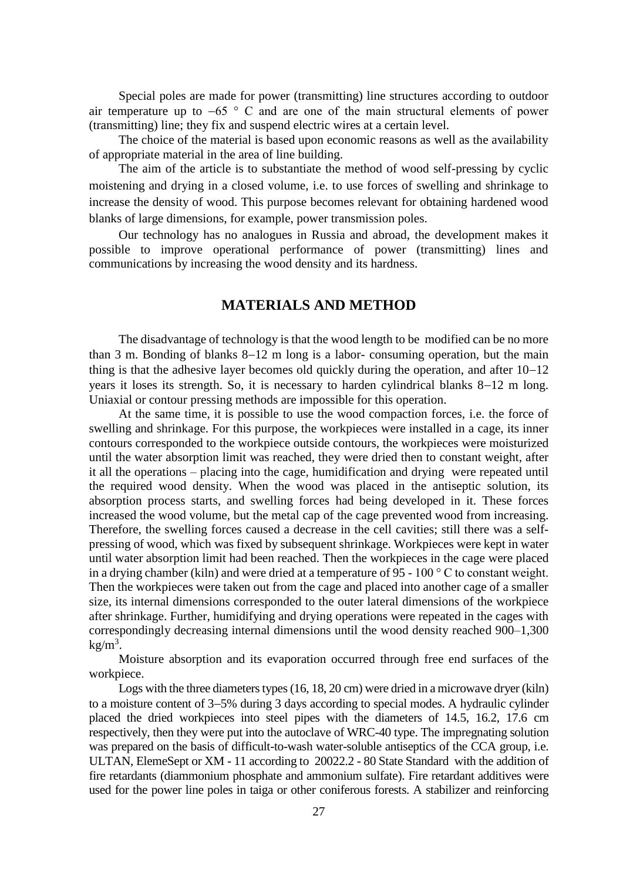Special poles are made for power (transmitting) line structures according to outdoor air temperature up to  $-65$  ° C and are one of the main structural elements of power (transmitting) line; they fix and suspend electric wires at a certain level.

The choice of the material is based upon economic reasons as well as the availability of appropriate material in the area of line building.

The aim of the article is to substantiate the method of wood self-pressing by cyclic moistening and drying in a closed volume, i.e. to use forces of swelling and shrinkage to increase the density of wood. This purpose becomes relevant for obtaining hardened wood blanks of large dimensions, for example, power transmission poles.

Our technology has no analogues in Russia and abroad, the development makes it possible to improve operational performance of power (transmitting) lines and communications by increasing the wood density and its hardness.

## **MATERIALS AND METHOD**

The disadvantage of technology is that the wood length to be modified can be no more than 3 m. Bonding of blanks  $8-12$  m long is a labor- consuming operation, but the main thing is that the adhesive layer becomes old quickly during the operation, and after  $10-12$ years it loses its strength. So, it is necessary to harden cylindrical blanks  $8-12$  m long. Uniaxial or contour pressing methods are impossible for this operation.

At the same time, it is possible to use the wood compaction forces, i.e. the force of swelling and shrinkage. For this purpose, the workpieces were installed in a cage, its inner contours corresponded to the workpiece outside contours, the workpieces were moisturized until the water absorption limit was reached, they were dried then to constant weight, after it all the operations – placing into the cage, humidification and drying were repeated until the required wood density. When the wood was placed in the antiseptic solution, its absorption process starts, and swelling forces had being developed in it. These forces increased the wood volume, but the metal cap of the cage prevented wood from increasing. Therefore, the swelling forces caused a decrease in the cell cavities; still there was a selfpressing of wood, which was fixed by subsequent shrinkage. Workpieces were kept in water until water absorption limit had been reached. Then the workpieces in the cage were placed in a drying chamber (kiln) and were dried at a temperature of 95 - 100 ° C to constant weight. Then the workpieces were taken out from the cage and placed into another cage of a smaller size, its internal dimensions corresponded to the outer lateral dimensions of the workpiece after shrinkage. Further, humidifying and drying operations were repeated in the cages with correspondingly decreasing internal dimensions until the wood density reached 900–1,300  $kg/m<sup>3</sup>$ .

Moisture absorption and its evaporation occurred through free end surfaces of the workpiece.

Logs with the three diameters types (16, 18, 20 cm) were dried in a microwave dryer (kiln) to a moisture content of  $3-5%$  during 3 days according to special modes. A hydraulic cylinder placed the dried workpieces into steel pipes with the diameters of 14.5, 16.2, 17.6 cm respectively, then they were put into the autoclave of WRC-40 type. The impregnating solution was prepared on the basis of difficult-to-wash water-soluble antiseptics of the CCA group, i.e. ULTAN, ElemeSept or XM - 11 according to 20022.2 - 80 State Standard with the addition of fire retardants (diammonium phosphate and ammonium sulfate). Fire retardant additives were used for the power line poles in taiga or other coniferous forests. A stabilizer and reinforcing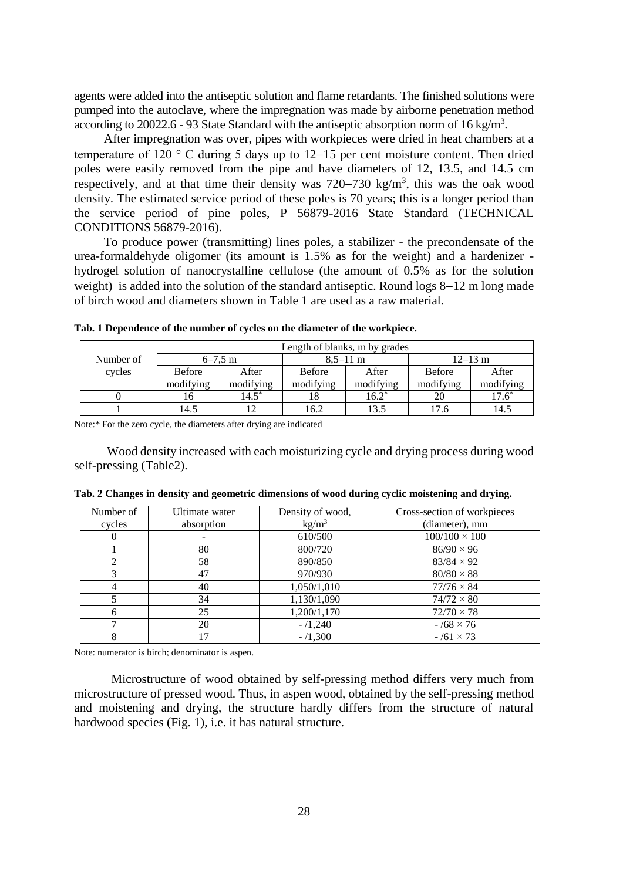agents were added into the antiseptic solution and flame retardants. The finished solutions were pumped into the autoclave, where the impregnation was made by airborne penetration method according to 20022.6 - 93 State Standard with the antiseptic absorption norm of 16 kg/m<sup>3</sup>.

After impregnation was over, pipes with workpieces were dried in heat chambers at a temperature of 120  $\degree$  C during 5 days up to 12–15 per cent moisture content. Then dried poles were easily removed from the pipe and have diameters of 12, 13.5, and 14.5 cm respectively, and at that time their density was  $720-730 \text{ kg/m}^3$ , this was the oak wood density. The estimated service period of these poles is 70 years; this is a longer period than the service period of pine poles, P 56879-2016 State Standard (TECHNICAL CONDITIONS 56879-2016).

To produce power (transmitting) lines poles, a stabilizer - the precondensate of the urea-formaldehyde oligomer (its amount is 1.5% as for the weight) and a hardenizer hydrogel solution of nanocrystalline cellulose (the amount of 0.5% as for the solution weight) is added into the solution of the standard antiseptic. Round logs  $8-12$  m long made of birch wood and diameters shown in Table 1 are used as a raw material.

|           | Length of blanks, m by grades |           |               |                      |               |             |  |  |
|-----------|-------------------------------|-----------|---------------|----------------------|---------------|-------------|--|--|
| Number of | $6 - 7.5$ m                   |           |               | $8.5 - 11 \text{ m}$ | $12 - 13$ m   |             |  |  |
| cycles    | <b>Before</b>                 | After     | <b>Before</b> | After                | <b>Before</b> | After       |  |  |
|           | modifying                     | modifying | modifying     | modifying            | modifying     | modifying   |  |  |
|           | 16                            | $14.5^*$  |               | $16.2^*$             | 20            | $17.6^\ast$ |  |  |
|           | 14.5                          | 12        | 16.2          | 13.5                 | 17.6          | 14.5        |  |  |

**Tab. 1 Dependence of the number of cycles on the diameter of the workpiece.**

Note:\* For the zero cycle, the diameters after drying are indicated

Wood density increased with each moisturizing cycle and drying process during wood self-pressing (Table2).

| Number of                   | Ultimate water | Density of wood,  | Cross-section of workpieces |
|-----------------------------|----------------|-------------------|-----------------------------|
| cycles                      | absorption     | kg/m <sup>3</sup> | (diameter), mm              |
|                             |                | 610/500           | $100/100 \times 100$        |
|                             | 80             | 800/720           | $86/90 \times 96$           |
| $\mathcal{D}_{\mathcal{L}}$ | 58             | 890/850           | $83/84 \times 92$           |
| 3                           | 47             | 970/930           | $80/80 \times 88$           |
|                             | 40             | 1,050/1,010       | $77/76 \times 84$           |
|                             | 34             | 1,130/1,090       | $74/72 \times 80$           |
| 6                           | 25             | 1,200/1,170       | $72/70 \times 78$           |
|                             | 20             | $-/1,240$         | $-768 \times 76$            |
|                             | 17             | $-$ /1,300        | $-761 \times 73$            |

|  |  |  |  |  |  | Tab. 2 Changes in density and geometric dimensions of wood during cyclic moistening and drying. |  |
|--|--|--|--|--|--|-------------------------------------------------------------------------------------------------|--|
|  |  |  |  |  |  |                                                                                                 |  |

Note: numerator is birch; denominator is aspen.

Microstructure of wood obtained by self-pressing method differs very much from microstructure of pressed wood. Thus, in aspen wood, obtained by the self-pressing method and moistening and drying, the structure hardly differs from the structure of natural hardwood species (Fig. 1), i.e. it has natural structure.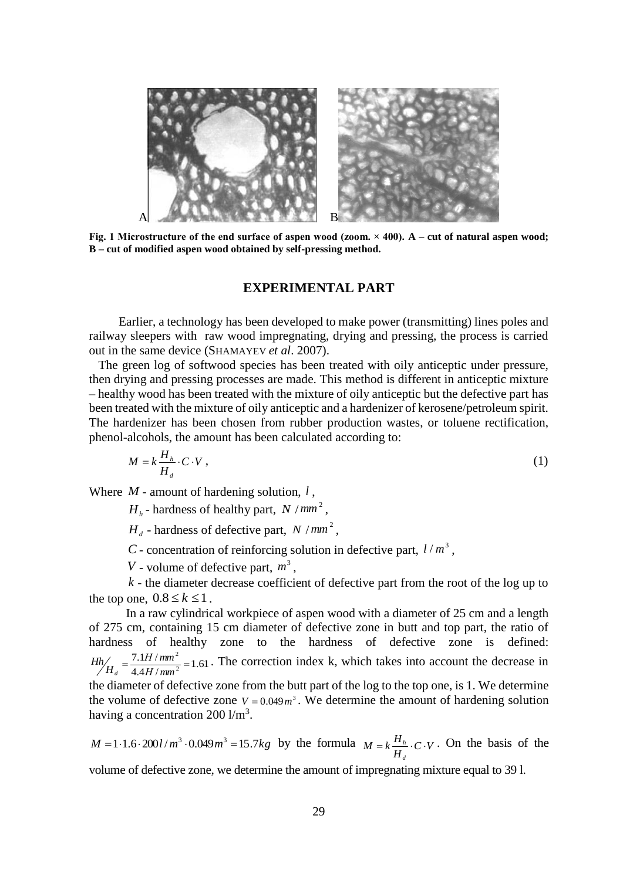

**Fig. 1 Microstructure of the end surface of aspen wood (zoom. × 400). A – cut of natural aspen wood; B – cut of modified aspen wood obtained by self-pressing method.**

#### **EXPERIMENTAL PART**

Earlier, a technology has been developed to make power (transmitting) lines poles and railway sleepers with raw wood impregnating, drying and pressing, the process is carried out in the same device (SHAMAYEV *et al*. 2007).

 The green log of softwood species has been treated with oily anticeptic under pressure, then drying and pressing processes are made. This method is different in anticeptic mixture – healthy wood has been treated with the mixture of oily anticeptic but the defective part has been treated with the mixture of oily anticeptic and a hardenizer of kerosene/petroleum spirit. The hardenizer has been chosen from rubber production wastes, or toluene rectification, phenol-alcohols, the amount has been calculated according to:

$$
M = k \frac{H_h}{H_d} \cdot C \cdot V \,, \tag{1}
$$

Where  $M$  - amount of hardening solution,  $l$ ,

 $H_h$ - hardness of healthy part,  $N / mm^2$ ,

 $H_d$  - hardness of defective part,  $N / mm^2$ ,

*C* - concentration of reinforcing solution in defective part,  $l/m^3$ ,

*V* - volume of defective part,  $m^3$ ,

- the diameter decrease coefficient of defective part from the root of the log up to *k* the top one,  $0.8 \le k \le 1$ .

In a raw cylindrical workpiece of aspen wood with a diameter of 25 cm and a length of 275 cm, containing 15 cm diameter of defective zone in butt and top part, the ratio of hardness of healthy zone to the hardness of defective zone is defined:  $\frac{1.117}{4.4}$  /  $mm^2$  = 1.61  $7.1 H/$ 2  $=\frac{7.1H/mm^2}{2}$ *Н mm Н mm H Hh d* . The correction index k, which takes into account the decrease in

the diameter of defective zone from the butt part of the log to the top one, is 1. We determine the volume of defective zone  $V = 0.049 m<sup>3</sup>$ . We determine the amount of hardening solution having a concentration  $200 \frac{\text{m}}{3}$ .

 $M = 1 \cdot 1.6 \cdot 200$ *l* /*m*<sup>3</sup>  $\cdot 0.049$ *m*<sup>3</sup> = 15.7*kg* by the formula  $M = k \frac{H_h}{H_d} \cdot C \cdot V$ *d*  $= k \frac{H_h}{\sigma} \cdot C \cdot V$ . On the basis of the

volume of defective zone, we determine the amount of impregnating mixture equal to 39 l.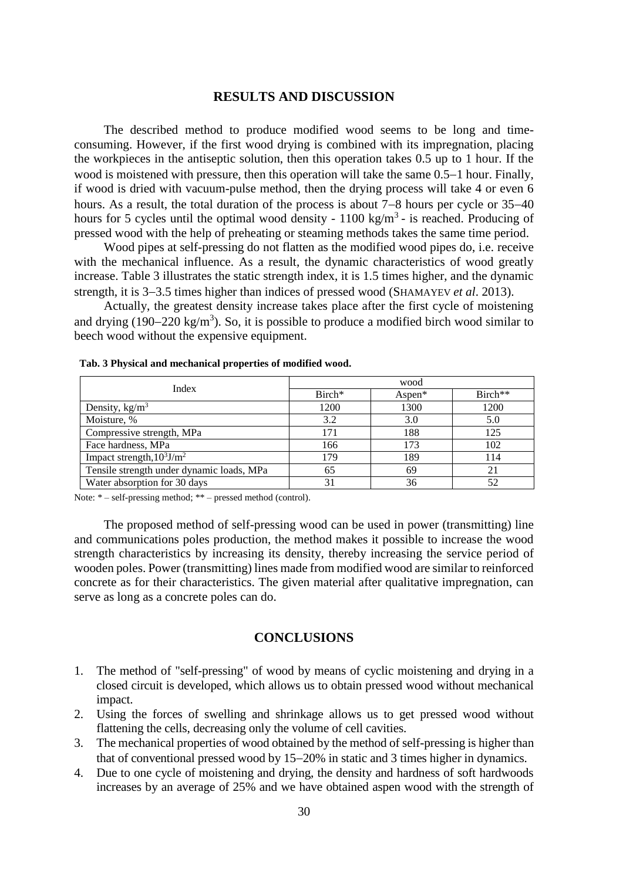#### **RESULTS AND DISCUSSION**

The described method to produce modified wood seems to be long and timeconsuming. However, if the first wood drying is combined with its impregnation, placing the workpieces in the antiseptic solution, then this operation takes 0.5 up to 1 hour. If the wood is moistened with pressure, then this operation will take the same  $0.5-1$  hour. Finally, if wood is dried with vacuum-pulse method, then the drying process will take 4 or even 6 hours. As a result, the total duration of the process is about  $7-8$  hours per cycle or  $35-40$ hours for 5 cycles until the optimal wood density -  $1100 \text{ kg/m}^3$  - is reached. Producing of pressed wood with the help of preheating or steaming methods takes the same time period.

Wood pipes at self-pressing do not flatten as the modified wood pipes do, i.e. receive with the mechanical influence. As a result, the dynamic characteristics of wood greatly increase. Table 3 illustrates the static strength index, it is 1.5 times higher, and the dynamic strength, it is 3–3.5 times higher than indices of pressed wood (SHAMAYEV *et al.* 2013).

Actually, the greatest density increase takes place after the first cycle of moistening and drying  $(190-220 \text{ kg/m}^3)$ . So, it is possible to produce a modified birch wood similar to beech wood without the expensive equipment.

| Index                                     | wood               |           |           |  |  |  |  |
|-------------------------------------------|--------------------|-----------|-----------|--|--|--|--|
|                                           | Birch <sup>*</sup> | Aspen $*$ | $Birch**$ |  |  |  |  |
| Density, $\text{kg/m}^3$                  | 1200               | 1300      | 1200      |  |  |  |  |
| Moisture, %                               | 3.2                | 3.0       | 5.0       |  |  |  |  |
| Compressive strength, MPa                 | 171                | 188       | 125       |  |  |  |  |
| Face hardness, MPa                        | 166                | 173       | 102       |  |  |  |  |
| Impact strength, $10^3$ J/m <sup>2</sup>  | 179                | 189       | 114       |  |  |  |  |
| Tensile strength under dynamic loads, MPa | 65                 | 69        | 21        |  |  |  |  |
| Water absorption for 30 days              |                    | 36        | 52        |  |  |  |  |

Note: \* – self-pressing method; \*\* – pressed method (control).

The proposed method of self-pressing wood can be used in power (transmitting) line and communications poles production, the method makes it possible to increase the wood strength characteristics by increasing its density, thereby increasing the service period of wooden poles. Power (transmitting) lines made from modified wood are similar to reinforced concrete as for their characteristics. The given material after qualitative impregnation, can serve as long as a concrete poles can do.

## **CONCLUSIONS**

- 1. The method of "self-pressing" of wood by means of cyclic moistening and drying in a closed circuit is developed, which allows us to obtain pressed wood without mechanical impact.
- 2. Using the forces of swelling and shrinkage allows us to get pressed wood without flattening the cells, decreasing only the volume of cell cavities.
- 3. The mechanical properties of wood obtained by the method of self-pressing is higher than that of conventional pressed wood by  $15-20\%$  in static and 3 times higher in dynamics.
- 4. Due to one cycle of moistening and drying, the density and hardness of soft hardwoods increases by an average of 25% and we have obtained aspen wood with the strength of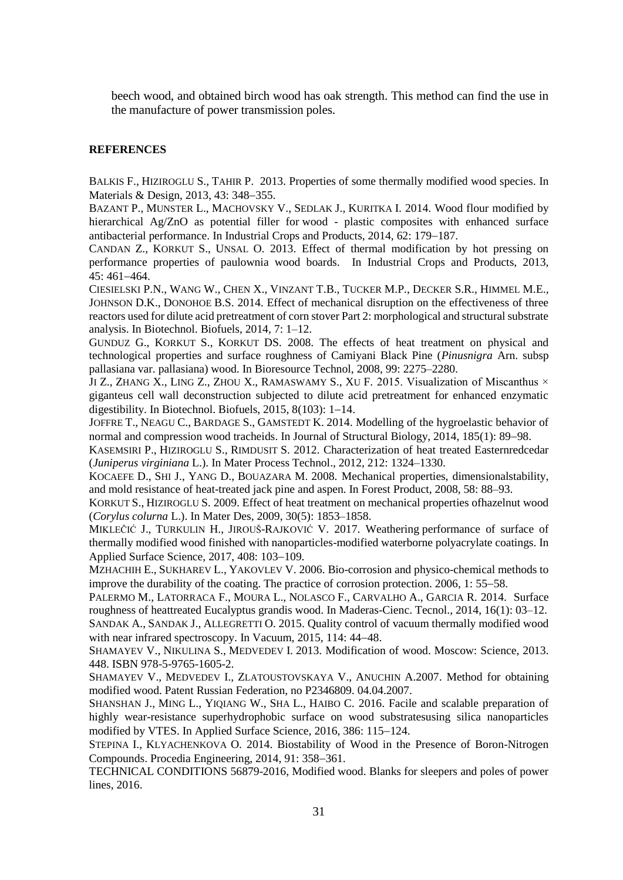beech wood, and obtained birch wood has oak strength. This method can find the use in the manufacture of power transmission poles.

#### **REFERENCES**

BALKIS F., HIZIROGLU S., TAHIR P. 2013. Properties of some thermally modified wood species. In Materials & Design, 2013, 43: 348-355.

BAZANT P., MUNSTER L., MACHOVSKY V., SEDLAK J., KURITKA I. 2014. Wood flour modified by hierarchical Ag/ZnO as potential filler for wood - plastic composites with enhanced surface antibacterial performance. In Industrial Crops and Products, 2014, 62: 179–187.

CANDAN Z., KORKUT S., UNSAL O. 2013. Effect of thermal modification by hot pressing on performance properties of paulownia wood boards. In Industrial Crops and Products, 2013,  $45:461-464.$ 

CIESIELSKI P.N., WANG W., CHEN X., VINZANT T.B., TUCKER M.P., DECKER S.R., HIMMEL M.E., JOHNSON D.K., DONOHOE B.S. 2014. Effect of mechanical disruption on the effectiveness of three reactors used for dilute acid pretreatment of corn stover Part 2: morphological and structural substrate analysis. In Biotechnol. Biofuels, 2014, 7: 1–12.

GUNDUZ G., KORKUT S., KORKUT DS. 2008. The effects of heat treatment on physical and technological properties and surface roughness of Camiyani Black Pine (*Pinusnigra* Arn. subsp pallasiana var. pallasiana) wood. In Bioresource Technol, 2008, 99: 2275–2280.

JI Z., ZHANG X., LING Z., ZHOU X., RAMASWAMY S., XU F. 2015. Visualization of Miscanthus  $\times$ giganteus cell wall deconstruction subjected to dilute acid pretreatment for enhanced enzymatic digestibility. In Biotechnol. Biofuels,  $2015$ ,  $8(103)$ : 1–14.

JOFFRE T., NEAGU C., BARDAGE S., GAMSTEDT K. 2014. Modelling of the hygroelastic behavior of normal and compression wood tracheids. In Journal of Structural Biology, 2014, 185(1): 89–98.

KASEMSIRI P., HIZIROGLU S., RIMDUSIT S. 2012. Characterization of heat treated Easternredcedar (*Juniperus virginiana* L.). In Mater Process Technol., 2012, 212: 1324–1330.

KOCAEFE D., SHI J., YANG D., BOUAZARA M. 2008. Mechanical properties, dimensionalstability, and mold resistance of heat-treated jack pine and aspen. In Forest Product, 2008, 58: 88–93.

KORKUT S., HIZIROGLU S. 2009. Effect of heat treatment on mechanical properties ofhazelnut wood (*Corylus colurna* L.). In Mater Des, 2009, 30(5): 1853–1858.

MIKLEČIĆ J., TURKULIN H., JIROUŠ-RAJKOVIĆ V. 2017. Weathering performance of surface of thermally modified wood finished with nanoparticles-modified waterborne polyacrylate coatings. In Applied Surface Science, 2017, 408: 103-109.

MZHACHIH E., SUKHAREV L., YAKOVLEV V. 2006. Bio-corrosion and physico-chemical methods to improve the durability of the coating. The practice of corrosion protection.  $2006$ ,  $1: 55-58$ .

PALERMO M., LATORRACA F., MOURA L., NOLASCO F., CARVALHO A., GARCIA R. 2014. Surface roughness of heattreated Eucalyptus grandis wood. In Maderas-Cienc. Tecnol., 2014, 16(1): 03–12. SANDAK A., SANDAK J., ALLEGRETTI O. 2015. Quality control of vacuum thermally modified wood with near infrared spectroscopy. In Vacuum,  $2015$ ,  $114$ :  $44-48$ .

SHAMAYEV V., NIKULINA S., MEDVEDEV I. 2013. Modification of wood. Moscow: Science, 2013. 448. ISBN 978-5-9765-1605-2.

SHAMAYEV V., MEDVEDEV I., ZLATOUSTOVSKAYA V., ANUCHIN A.2007. Method for obtaining modified wood. Patent Russian Federation, no P2346809. 04.04.2007.

SHANSHAN J., MING L., YIQIANG W., SHA L., HAIBO C. 2016. Facile and scalable preparation of highly wear-resistance superhydrophobic surface on wood substratesusing silica nanoparticles modified by VTES. In Applied Surface Science, 2016, 386: 115–124.

STEPINA I., KLYACHENKOVA O. 2014. Biostability of Wood in the Presence of Boron-Nitrogen Compounds. Procedia Engineering, 2014, 91: 358–361.

TECHNICAL CONDITIONS 56879-2016, Modified wood. Blanks for sleepers and poles of power lines, 2016.